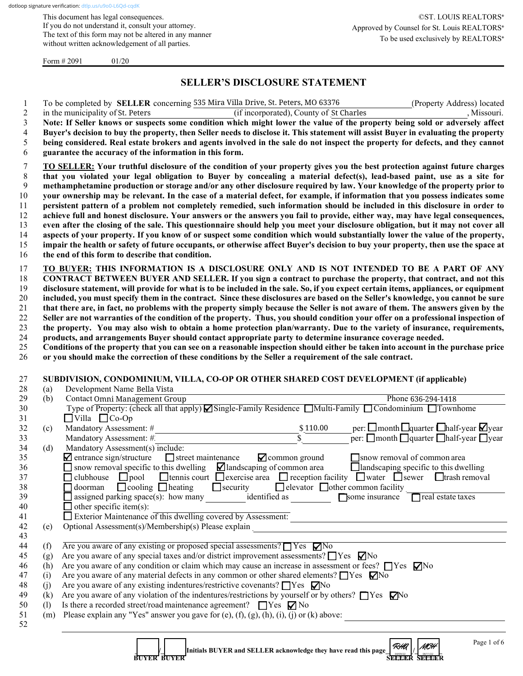This document has legal consequences. If you do not understand it, consult your attorney. The text of this form may not be altered in any manner without written acknowledgement of all parties.

Form  $\# 2091$  01/20

## **SELLER'S DISCLOSURE STATEMENT**

|            | To be completed by <b>SELLER</b> concerning 535 Mira Villa Drive, St. Peters, MO 63376<br>(Property Address) located                                                                                    |
|------------|---------------------------------------------------------------------------------------------------------------------------------------------------------------------------------------------------------|
|            | (if incorporated), County of St Charles<br>, Missouri.<br>in the municipality of St. Peters                                                                                                             |
|            | Note: If Seller knows or suspects some condition which might lower the value of the property being sold or adversely affect                                                                             |
|            | Buyer's decision to buy the property, then Seller needs to disclose it. This statement will assist Buyer in evaluating the property                                                                     |
|            | being considered. Real estate brokers and agents involved in the sale do not inspect the property for defects, and they cannot                                                                          |
|            | guarantee the accuracy of the information in this form.                                                                                                                                                 |
|            | TO SELLER: Your truthful disclosure of the condition of your property gives you the best protection against future charges                                                                              |
|            | that you violated your legal obligation to Buyer by concealing a material defect(s), lead-based paint, use as a site for                                                                                |
|            | methamphetamine production or storage and/or any other disclosure required by law. Your knowledge of the property prior to                                                                              |
|            | your ownership may be relevant. In the case of a material defect, for example, if information that you possess indicates some                                                                           |
|            | persistent pattern of a problem not completely remedied, such information should be included in this disclosure in order to                                                                             |
|            | achieve full and honest disclosure. Your answers or the answers you fail to provide, either way, may have legal consequences,                                                                           |
|            | even after the closing of the sale. This questionnaire should help you meet your disclosure obligation, but it may not cover all                                                                        |
|            | aspects of your property. If you know of or suspect some condition which would substantially lower the value of the property,                                                                           |
|            | impair the health or safety of future occupants, or otherwise affect Buyer's decision to buy your property, then use the space at                                                                       |
|            | the end of this form to describe that condition.                                                                                                                                                        |
|            | TO BUYER: THIS INFORMATION IS A DISCLOSURE ONLY AND IS NOT INTENDED TO BE A PART OF ANY                                                                                                                 |
|            | CONTRACT BETWEEN BUYER AND SELLER. If you sign a contract to purchase the property, that contract, and not this                                                                                         |
|            | disclosure statement, will provide for what is to be included in the sale. So, if you expect certain items, appliances, or equipment                                                                    |
|            | included, you must specify them in the contract. Since these disclosures are based on the Seller's knowledge, you cannot be sure                                                                        |
|            | that there are, in fact, no problems with the property simply because the Seller is not aware of them. The answers given by the                                                                         |
|            | Seller are not warranties of the condition of the property. Thus, you should condition your offer on a professional inspection of                                                                       |
|            | the property. You may also wish to obtain a home protection plan/warranty. Due to the variety of insurance, requirements,                                                                               |
|            | products, and arrangements Buyer should contact appropriate party to determine insurance coverage needed.                                                                                               |
|            | Conditions of the property that you can see on a reasonable inspection should either be taken into account in the purchase price                                                                        |
|            | or you should make the correction of these conditions by the Seller a requirement of the sale contract.                                                                                                 |
|            | SUBDIVISION, CONDOMINIUM, VILLA, CO-OP OR OTHER SHARED COST DEVELOPMENT (if applicable)<br>Development Name Bella Vista                                                                                 |
| (a)<br>(b) | Contact Omni Management Group<br>Phone 636-294-1418                                                                                                                                                     |
|            | Type of Property: (check all that apply) Single-Family Residence Multi-Family Condominium Townhome                                                                                                      |
|            | $\Box$ Villa $\Box$ Co-Op                                                                                                                                                                               |
| (c)        | Mandatory Assessment: #<br>\$110.00                                                                                                                                                                     |
|            | per: $\square$ month $\square$ quarter $\square$ half-year $\square$ year<br>per: $\square$ month $\square$ quarter $\square$ half-year $\square$ year<br>$\bar{\mathbb{S}}$<br>Mandatory Assessment: # |
| (d)        | Mandatory Assessment(s) include:                                                                                                                                                                        |
|            | $\blacksquare$ entrance sign/structure<br><b>⊘</b> common ground<br>snow removal of common area<br>$\Box$ street maintenance                                                                            |
|            | $\Box$ snow removal specific to this dwelling $\Box$ landscaping of common area<br>$\Box$ landscaping specific to this dwelling                                                                         |
|            | $\Box$ tennis court $\Box$ exercise area $\Box$ reception facility $\Box$ water $\Box$ sewer $\Box$ trash removal<br>$\Box$ clubhouse $\Box$ pool                                                       |
|            | $\Box$ doorman $\Box$ cooling $\Box$ heating<br>$\Box$ security<br>□ elevator □ other common facility                                                                                                   |
|            | $\Box$ assigned parking space(s): how many identified as<br>Some insurance<br>$\Box$ real estate taxes                                                                                                  |
|            | $\Box$ other specific item(s):                                                                                                                                                                          |
|            | Exterior Maintenance of this dwelling covered by Assessment:                                                                                                                                            |
| (e)        | Optional Assessment(s)/Membership(s) Please explain<br><u> 1989 - Johann Barn, mars ar breithinn ar chuid ann an t-Alban ann an t-Alban ann an t-Alban ann an t-Alban a</u>                             |
|            |                                                                                                                                                                                                         |
| (f)        | Are you aware of any existing or proposed special assessments? $\Box$ Yes $\nabla$ No                                                                                                                   |
| (g)        | Are you aware of any special taxes and/or district improvement assessments? $\Box$ Yes $\nabla$ No                                                                                                      |
| (h)        | Are you aware of any condition or claim which may cause an increase in assessment or fees? $\Box$ Yes $\nabla$ No                                                                                       |
| (i)        | Are you aware of any material defects in any common or other shared elements? $\Box$ Yes $\Box$ No                                                                                                      |
| (j)        | Are you aware of any existing indentures/restrictive covenants? □ Yes □ No                                                                                                                              |
| (k)        | Are you aware of any violation of the indentures/restrictions by yourself or by others? $\Box$ Yes $\Box$ Yo                                                                                            |
| (1)        | Is there a recorded street/road maintenance agreement? $\Box$ Yes $\nabla$ No                                                                                                                           |
| (m)        | Please explain any "Yes" answer you gave for (e), $(f)$ , $(g)$ , $(h)$ , $(i)$ , $(j)$ or $(k)$ above:                                                                                                 |
|            |                                                                                                                                                                                                         |
|            | Page 1 of 6<br>$R$ HA<br>MCH<br>Initials BUYER and SELLER acknowledge they have read this page<br>BUYER BUYER                                                                                           |

**BUYER BUYER SELLER SELLER SELLER SELLER SELLER SELLER**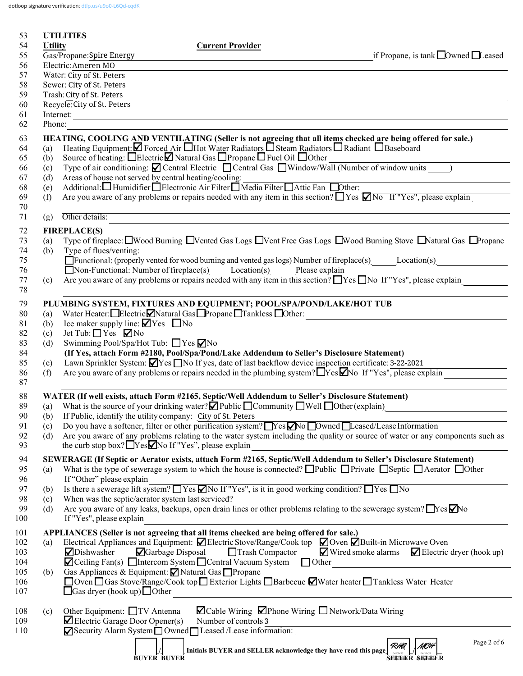dotloop signature verification: [dtlp.us/u9o0-L6Qd-cqdK](https://dtlp.us/u9o0-L6Qd-cqdK)

| 53         |                                                                                                                                                                                                                                               | <b>UTILITIES</b>                                            |                                                                                                                                                                                             |                                                                                                                                             |  |
|------------|-----------------------------------------------------------------------------------------------------------------------------------------------------------------------------------------------------------------------------------------------|-------------------------------------------------------------|---------------------------------------------------------------------------------------------------------------------------------------------------------------------------------------------|---------------------------------------------------------------------------------------------------------------------------------------------|--|
| 54<br>55   | <b>Utility</b>                                                                                                                                                                                                                                | Gas/Propane: Spire Energy                                   | <b>Current Provider</b>                                                                                                                                                                     | if Propane, is tank $\Box$ Owned $\Box$ Leased                                                                                              |  |
| 56         |                                                                                                                                                                                                                                               | Electric: Ameren MO                                         |                                                                                                                                                                                             |                                                                                                                                             |  |
| 57         | Water: City of St. Peters                                                                                                                                                                                                                     |                                                             |                                                                                                                                                                                             |                                                                                                                                             |  |
| 58         | Sewer: City of St. Peters                                                                                                                                                                                                                     |                                                             |                                                                                                                                                                                             |                                                                                                                                             |  |
| 59         |                                                                                                                                                                                                                                               | Trash: City of St. Peters                                   |                                                                                                                                                                                             |                                                                                                                                             |  |
| 60         | Recycle: City of St. Peters<br>Internet:                                                                                                                                                                                                      |                                                             |                                                                                                                                                                                             |                                                                                                                                             |  |
| 61<br>62   | Phone:                                                                                                                                                                                                                                        |                                                             |                                                                                                                                                                                             |                                                                                                                                             |  |
| 63<br>64   | HEATING, COOLING AND VENTILATING (Seller is not agreeing that all items checked are being offered for sale.)<br>Heating Equipment: $\Box$ Forced Air $\Box$ Hot Water Radiators $\Box$ Steam Radiators $\Box$ Radiant $\Box$ Baseboard<br>(a) |                                                             |                                                                                                                                                                                             |                                                                                                                                             |  |
| 65         | (b)                                                                                                                                                                                                                                           |                                                             | Source of heating: □Electric□ Natural Gas □ Propane □ Fuel Oil □ Other                                                                                                                      |                                                                                                                                             |  |
| 66         | (c)                                                                                                                                                                                                                                           |                                                             | Type of air conditioning: $\blacksquare$ Central Electric $\blacksquare$ Central Gas $\blacksquare$ Window/Wall (Number of window units )                                                   |                                                                                                                                             |  |
| 67         | (d)                                                                                                                                                                                                                                           | Areas of house not served by central heating/cooling:       |                                                                                                                                                                                             |                                                                                                                                             |  |
| 68         | (e)                                                                                                                                                                                                                                           |                                                             | Additional: Humidifier Electronic Air Filter Media Filter Attic Fan Dother:                                                                                                                 |                                                                                                                                             |  |
| 69<br>70   | (f)                                                                                                                                                                                                                                           |                                                             |                                                                                                                                                                                             | Are you aware of any problems or repairs needed with any item in this section? $\Box$ Yes $\Box$ No If "Yes", please explain                |  |
| 71         | (g)                                                                                                                                                                                                                                           | Other details:                                              | the control of the control of the control of the control of the control of the control of                                                                                                   | <u> 1980 - Johann Stein, marwolaethau (b. 1980)</u>                                                                                         |  |
| 72         |                                                                                                                                                                                                                                               | <b>FIREPLACE(S)</b>                                         |                                                                                                                                                                                             |                                                                                                                                             |  |
| 73         | (a)                                                                                                                                                                                                                                           |                                                             |                                                                                                                                                                                             | Type of fireplace: UWood Burning UVented Gas Logs UVent Free Gas Logs UWood Burning Stove UNatural Gas UPropane                             |  |
| 74         | (b)                                                                                                                                                                                                                                           | Type of flues/venting:                                      |                                                                                                                                                                                             |                                                                                                                                             |  |
| 75         |                                                                                                                                                                                                                                               |                                                             |                                                                                                                                                                                             | Functional: (properly vented for wood burning and vented gas logs) Number of fireplace(s) Location(s)                                       |  |
| 76<br>77   |                                                                                                                                                                                                                                               |                                                             | $\Box$ Non-Functional: Number of fireplace(s) Location(s) Please explain<br>Are you aware of any problems or repairs needed with any item in this section? Ness No If "Yes", please explain |                                                                                                                                             |  |
| 78         | (c)                                                                                                                                                                                                                                           |                                                             |                                                                                                                                                                                             |                                                                                                                                             |  |
| 79         |                                                                                                                                                                                                                                               |                                                             | PLUMBING SYSTEM, FIXTURES AND EQUIPMENT; POOL/SPA/POND/LAKE/HOT TUB                                                                                                                         |                                                                                                                                             |  |
| 80         | (a)                                                                                                                                                                                                                                           |                                                             | Water Heater: Electric Natural Gas Propane Tankless Other:                                                                                                                                  |                                                                                                                                             |  |
| 81         | (b)                                                                                                                                                                                                                                           | Ice maker supply line: $\blacksquare$ Yes $\blacksquare$ No |                                                                                                                                                                                             |                                                                                                                                             |  |
| 82         | (c)                                                                                                                                                                                                                                           | Jet Tub: $\Box$ Yes $\Box$ No                               |                                                                                                                                                                                             |                                                                                                                                             |  |
| 83<br>84   | (d)                                                                                                                                                                                                                                           | Swimming Pool/Spa/Hot Tub: ■ Yes ØNo                        | (If Yes, attach Form #2180, Pool/Spa/Pond/Lake Addendum to Seller's Disclosure Statement)                                                                                                   |                                                                                                                                             |  |
| 85         | (e)                                                                                                                                                                                                                                           |                                                             | Lawn Sprinkler System: $\Box$ Yes $\Box$ No If yes, date of last backflow device inspection certificate: 3-22-2021                                                                          |                                                                                                                                             |  |
| 86         | (f)                                                                                                                                                                                                                                           |                                                             |                                                                                                                                                                                             | Are you aware of any problems or repairs needed in the plumbing system? $\Box$ Yes $\Box$ No If "Yes", please explain                       |  |
| 87         |                                                                                                                                                                                                                                               |                                                             |                                                                                                                                                                                             |                                                                                                                                             |  |
| 88         |                                                                                                                                                                                                                                               |                                                             | WATER (If well exists, attach Form #2165, Septic/Well Addendum to Seller's Disclosure Statement)                                                                                            |                                                                                                                                             |  |
| 89         |                                                                                                                                                                                                                                               |                                                             | (a) What is the source of your drinking water? $\Box$ Public $\Box$ Community $\Box$ Well $\Box$ Other (explain)<br>(b) If Public, identify the utility company: City of St. Peters         |                                                                                                                                             |  |
| 90<br>91   | (c)                                                                                                                                                                                                                                           |                                                             | Do you have a softener, filter or other purification system? $Yes$ No Dwned Leased/Lease Information                                                                                        |                                                                                                                                             |  |
| 92         | (d)                                                                                                                                                                                                                                           |                                                             |                                                                                                                                                                                             | Are you aware of any problems relating to the water system including the quality or source of water or any components such as               |  |
| 93         |                                                                                                                                                                                                                                               |                                                             | the curb stop box? $\Box$ Yes $\Box$ No If "Yes", please explain                                                                                                                            |                                                                                                                                             |  |
| 94         |                                                                                                                                                                                                                                               |                                                             |                                                                                                                                                                                             | SEWERAGE (If Septic or Aerator exists, attach Form #2165, Septic/Well Addendum to Seller's Disclosure Statement)                            |  |
| 95         | (a)                                                                                                                                                                                                                                           |                                                             |                                                                                                                                                                                             | What is the type of sewerage system to which the house is connected? $\Box$ Public $\Box$ Private $\Box$ Septic $\Box$ Aerator $\Box$ Other |  |
| 96         |                                                                                                                                                                                                                                               | If "Other" please explain                                   | Is there a sewerage lift system? These Mo If "Yes", is it in good working condition? These No                                                                                               |                                                                                                                                             |  |
| 97<br>98   | (b)<br>(c)                                                                                                                                                                                                                                    | When was the septic/aerator system last serviced?           |                                                                                                                                                                                             |                                                                                                                                             |  |
| 99         | (d)                                                                                                                                                                                                                                           |                                                             | Are you aware of any leaks, backups, open drain lines or other problems relating to the sewerage system? TYes Mo                                                                            |                                                                                                                                             |  |
| 100        |                                                                                                                                                                                                                                               | If "Yes", please explain                                    |                                                                                                                                                                                             |                                                                                                                                             |  |
| 101        |                                                                                                                                                                                                                                               |                                                             | APPLIANCES (Seller is not agreeing that all items checked are being offered for sale.)                                                                                                      |                                                                                                                                             |  |
| 102        | (a)                                                                                                                                                                                                                                           |                                                             | Electrical Appliances and Equipment: Ø Electric Stove/Range/Cook top Ø Oven Ø Built-in Microwave Oven                                                                                       |                                                                                                                                             |  |
| 103        |                                                                                                                                                                                                                                               | Dishwasher                                                  | Garbage Disposal<br>Trash Compactor<br>$\blacksquare$ Ceiling Fan(s) $\blacksquare$ Intercom System $\blacksquare$ Central Vacuum System $\blacksquare$ Other                               | $\blacksquare$ Wired smoke alarms $\blacksquare$ Electric dryer (hook up)                                                                   |  |
| 104<br>105 | (b)                                                                                                                                                                                                                                           |                                                             | Gas Appliances & Equipment: <b>Ø</b> Natural Gas □ Propane                                                                                                                                  |                                                                                                                                             |  |
| 106        |                                                                                                                                                                                                                                               |                                                             | □ Oven □ Gas Stove/Range/Cook top □ Exterior Lights □ Barbecue ■ Water heater □ Tankless Water Heater                                                                                       |                                                                                                                                             |  |
| 107        |                                                                                                                                                                                                                                               | $\Box$ Gas dryer (hook up) $\Box$ Other                     |                                                                                                                                                                                             |                                                                                                                                             |  |
| 108        | (c)                                                                                                                                                                                                                                           | Other Equipment: □TV Antenna                                | $\Box$ Cable Wiring $\Box$ Phone Wiring $\Box$ Network/Data Wiring                                                                                                                          |                                                                                                                                             |  |
| 109        |                                                                                                                                                                                                                                               | $\blacktriangleright$ Electric Garage Door Opener(s)        | Number of controls 3                                                                                                                                                                        |                                                                                                                                             |  |
| 110        |                                                                                                                                                                                                                                               |                                                             | Security Alarm System Owned Leased /Lease information:                                                                                                                                      |                                                                                                                                             |  |
|            |                                                                                                                                                                                                                                               |                                                             |                                                                                                                                                                                             | Page 2 of 6<br>RHA<br>MCH                                                                                                                   |  |
|            |                                                                                                                                                                                                                                               |                                                             | Initials BUYER and SELLER acknowledge they have read this page<br><b>BUYER BUYER</b>                                                                                                        | <b>SEEEER SELEER</b>                                                                                                                        |  |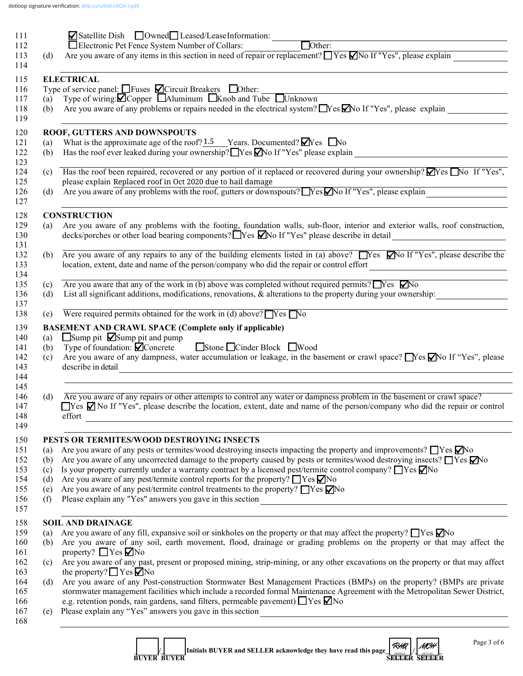|            | ⊠ Satellite Dish © Owned Leased/LeaseInformation:<br>$\Box$ Other:<br>Electronic Pet Fence System Number of Collars:                                                                                                                                                                                                                                                                                                                                                                                                                                                                                                                                                                                                                                                                                                                                                                                                                           |  |  |  |  |
|------------|------------------------------------------------------------------------------------------------------------------------------------------------------------------------------------------------------------------------------------------------------------------------------------------------------------------------------------------------------------------------------------------------------------------------------------------------------------------------------------------------------------------------------------------------------------------------------------------------------------------------------------------------------------------------------------------------------------------------------------------------------------------------------------------------------------------------------------------------------------------------------------------------------------------------------------------------|--|--|--|--|
| (d)        | Are you aware of any items in this section in need of repair or replacement? $\Box$ Yes $\Box$ No If "Yes", please explain                                                                                                                                                                                                                                                                                                                                                                                                                                                                                                                                                                                                                                                                                                                                                                                                                     |  |  |  |  |
|            | <b>ELECTRICAL</b>                                                                                                                                                                                                                                                                                                                                                                                                                                                                                                                                                                                                                                                                                                                                                                                                                                                                                                                              |  |  |  |  |
|            |                                                                                                                                                                                                                                                                                                                                                                                                                                                                                                                                                                                                                                                                                                                                                                                                                                                                                                                                                |  |  |  |  |
|            | Type of service panel: $\Box$ Fuses $\Box$ Circuit Breakers $\Box$ Other:<br>(a) Type of wiring: $\Box$ Copper $\Box$ Aluminum $\Box$ Knob and Tube $\Box$ Unknown                                                                                                                                                                                                                                                                                                                                                                                                                                                                                                                                                                                                                                                                                                                                                                             |  |  |  |  |
| (b)        | Are you aware of any problems or repairs needed in the electrical system? $\Box$ Yes $\Box$ No If "Yes", please explain                                                                                                                                                                                                                                                                                                                                                                                                                                                                                                                                                                                                                                                                                                                                                                                                                        |  |  |  |  |
|            | ROOF, GUTTERS AND DOWNSPOUTS                                                                                                                                                                                                                                                                                                                                                                                                                                                                                                                                                                                                                                                                                                                                                                                                                                                                                                                   |  |  |  |  |
| (a)        | What is the approximate age of the roof? $1.5$ Years. Documented? $\blacksquare$ Yes $\blacksquare$ No                                                                                                                                                                                                                                                                                                                                                                                                                                                                                                                                                                                                                                                                                                                                                                                                                                         |  |  |  |  |
| (b)        | Has the roof ever leaked during your ownership? Yes Mo If "Yes" please explain _______________________________                                                                                                                                                                                                                                                                                                                                                                                                                                                                                                                                                                                                                                                                                                                                                                                                                                 |  |  |  |  |
| (c)        | Has the roof been repaired, recovered or any portion of it replaced or recovered during your ownership? $\blacktriangledown$ Yes $\blacktriangledown$ No If "Yes",<br>please explain Replaced roof in Oct 2020 due to hail damage                                                                                                                                                                                                                                                                                                                                                                                                                                                                                                                                                                                                                                                                                                              |  |  |  |  |
| (d)        | Are you aware of any problems with the roof, gutters or downspouts? Nes No If "Yes", please explain                                                                                                                                                                                                                                                                                                                                                                                                                                                                                                                                                                                                                                                                                                                                                                                                                                            |  |  |  |  |
|            | <b>CONSTRUCTION</b>                                                                                                                                                                                                                                                                                                                                                                                                                                                                                                                                                                                                                                                                                                                                                                                                                                                                                                                            |  |  |  |  |
| (a)        | Are you aware of any problems with the footing, foundation walls, sub-floor, interior and exterior walls, roof construction,                                                                                                                                                                                                                                                                                                                                                                                                                                                                                                                                                                                                                                                                                                                                                                                                                   |  |  |  |  |
|            | decks/porches or other load bearing components? Tyes Mo If "Yes" please describe in detail<br><u> 1980 - Andrea Andrew Maria (b. 1980)</u>                                                                                                                                                                                                                                                                                                                                                                                                                                                                                                                                                                                                                                                                                                                                                                                                     |  |  |  |  |
|            | (b) Are you aware of any repairs to any of the building elements listed in (a) above? Nes Mo If "Yes", please describe the                                                                                                                                                                                                                                                                                                                                                                                                                                                                                                                                                                                                                                                                                                                                                                                                                     |  |  |  |  |
|            | location, extent, date and name of the person/company who did the repair or control effort<br><u> 1980 - Andrea Station Books, amerikansk politik (d. 1980)</u>                                                                                                                                                                                                                                                                                                                                                                                                                                                                                                                                                                                                                                                                                                                                                                                |  |  |  |  |
| (c)        | Are you aware that any of the work in (b) above was completed without required permits? $\Box$ Yes $\Box$ No                                                                                                                                                                                                                                                                                                                                                                                                                                                                                                                                                                                                                                                                                                                                                                                                                                   |  |  |  |  |
| (d)        | List all significant additions, modifications, renovations, & alterations to the property during your ownership:                                                                                                                                                                                                                                                                                                                                                                                                                                                                                                                                                                                                                                                                                                                                                                                                                               |  |  |  |  |
| (e)        | Were required permits obtained for the work in (d) above? $\Box$ Yes $\Box$ No                                                                                                                                                                                                                                                                                                                                                                                                                                                                                                                                                                                                                                                                                                                                                                                                                                                                 |  |  |  |  |
|            | <b>BASEMENT AND CRAWL SPACE (Complete only if applicable)</b>                                                                                                                                                                                                                                                                                                                                                                                                                                                                                                                                                                                                                                                                                                                                                                                                                                                                                  |  |  |  |  |
| (a)        | $\Box$ Sump pit $\Box$ Sump pit and pump                                                                                                                                                                                                                                                                                                                                                                                                                                                                                                                                                                                                                                                                                                                                                                                                                                                                                                       |  |  |  |  |
|            |                                                                                                                                                                                                                                                                                                                                                                                                                                                                                                                                                                                                                                                                                                                                                                                                                                                                                                                                                |  |  |  |  |
|            | Type of foundation: $\bigcirc$ Concrete Stone □ Cinder Block ■ Wood                                                                                                                                                                                                                                                                                                                                                                                                                                                                                                                                                                                                                                                                                                                                                                                                                                                                            |  |  |  |  |
| (b)<br>(c) | describe in detail                                                                                                                                                                                                                                                                                                                                                                                                                                                                                                                                                                                                                                                                                                                                                                                                                                                                                                                             |  |  |  |  |
|            |                                                                                                                                                                                                                                                                                                                                                                                                                                                                                                                                                                                                                                                                                                                                                                                                                                                                                                                                                |  |  |  |  |
| (d)        | Are you aware of any repairs or other attempts to control any water or dampness problem in the basement or crawl space?                                                                                                                                                                                                                                                                                                                                                                                                                                                                                                                                                                                                                                                                                                                                                                                                                        |  |  |  |  |
|            | effort                                                                                                                                                                                                                                                                                                                                                                                                                                                                                                                                                                                                                                                                                                                                                                                                                                                                                                                                         |  |  |  |  |
|            |                                                                                                                                                                                                                                                                                                                                                                                                                                                                                                                                                                                                                                                                                                                                                                                                                                                                                                                                                |  |  |  |  |
|            | PESTS OR TERMITES/WOOD DESTROYING INSECTS                                                                                                                                                                                                                                                                                                                                                                                                                                                                                                                                                                                                                                                                                                                                                                                                                                                                                                      |  |  |  |  |
| (a)        | Are you aware of any pests or termites/wood destroying insects impacting the property and improvements? $\Box$ Yes $\Box$ No                                                                                                                                                                                                                                                                                                                                                                                                                                                                                                                                                                                                                                                                                                                                                                                                                   |  |  |  |  |
| (b)        | Are you aware of any uncorrected damage to the property caused by pests or termites/wood destroying insects? $\Box$ Yes $\Box$ No<br>Is your property currently under a warranty contract by a licensed pest/termite control company? $\Box$ Yes $\Box$ No                                                                                                                                                                                                                                                                                                                                                                                                                                                                                                                                                                                                                                                                                     |  |  |  |  |
| (c)<br>(d) | Are you aware of any pest/termite control reports for the property? $\Box$ Yes $\nabla$ No                                                                                                                                                                                                                                                                                                                                                                                                                                                                                                                                                                                                                                                                                                                                                                                                                                                     |  |  |  |  |
| (e)        | Are you aware of any pest/termite control treatments to the property? $\Box$ Yes $\Box$ No                                                                                                                                                                                                                                                                                                                                                                                                                                                                                                                                                                                                                                                                                                                                                                                                                                                     |  |  |  |  |
| (f)        |                                                                                                                                                                                                                                                                                                                                                                                                                                                                                                                                                                                                                                                                                                                                                                                                                                                                                                                                                |  |  |  |  |
|            | <b>SOIL AND DRAINAGE</b>                                                                                                                                                                                                                                                                                                                                                                                                                                                                                                                                                                                                                                                                                                                                                                                                                                                                                                                       |  |  |  |  |
| (a)        | Are you aware of any fill, expansive soil or sinkholes on the property or that may affect the property? $\Box$ Yes $\Box$ No                                                                                                                                                                                                                                                                                                                                                                                                                                                                                                                                                                                                                                                                                                                                                                                                                   |  |  |  |  |
| (b)        |                                                                                                                                                                                                                                                                                                                                                                                                                                                                                                                                                                                                                                                                                                                                                                                                                                                                                                                                                |  |  |  |  |
|            | property? $\Box$ Yes $\nabla$ No                                                                                                                                                                                                                                                                                                                                                                                                                                                                                                                                                                                                                                                                                                                                                                                                                                                                                                               |  |  |  |  |
| (c)        | the property? $\Box$ Yes $\Box$ No                                                                                                                                                                                                                                                                                                                                                                                                                                                                                                                                                                                                                                                                                                                                                                                                                                                                                                             |  |  |  |  |
| (d)        |                                                                                                                                                                                                                                                                                                                                                                                                                                                                                                                                                                                                                                                                                                                                                                                                                                                                                                                                                |  |  |  |  |
|            |                                                                                                                                                                                                                                                                                                                                                                                                                                                                                                                                                                                                                                                                                                                                                                                                                                                                                                                                                |  |  |  |  |
| (e)        | Are you aware of any dampness, water accumulation or leakage, in the basement or crawl space? No If "Yes", please<br>$\Box$ Yes $\Box$ No If "Yes", please describe the location, extent, date and name of the person/company who did the repair or control<br>Are you aware of any soil, earth movement, flood, drainage or grading problems on the property or that may affect the<br>Are you aware of any past, present or proposed mining, strip-mining, or any other excavations on the property or that may affect<br>Are you aware of any Post-construction Stormwater Best Management Practices (BMPs) on the property? (BMPs are private<br>stormwater management facilities which include a recorded formal Maintenance Agreement with the Metropolitan Sewer District,<br>e.g. retention ponds, rain gardens, sand filters, permeable pavement) $\Box$ Yes $\nabla$ No<br>Please explain any "Yes" answers you gave in this section |  |  |  |  |

 **\_\_\_\_\_\_\_/\_\_\_\_\_\_\_ Initials BUYER and SELLER acknowledge they have read this page\_[\\_\\_\\_\\_\\_\\_\\_](https://dtlp.us/u9o0-L6Qd-cqdK)/[\\_\\_\\_\\_\\_\\_\\_](https://dtlp.us/u9o0-L6Qd-cqdK)\_ BUYER BUYER SELLER SELLER SELLER SELLER SELLER SELLER SELLER** RHA<br>ELIFE *mch*<br>Sener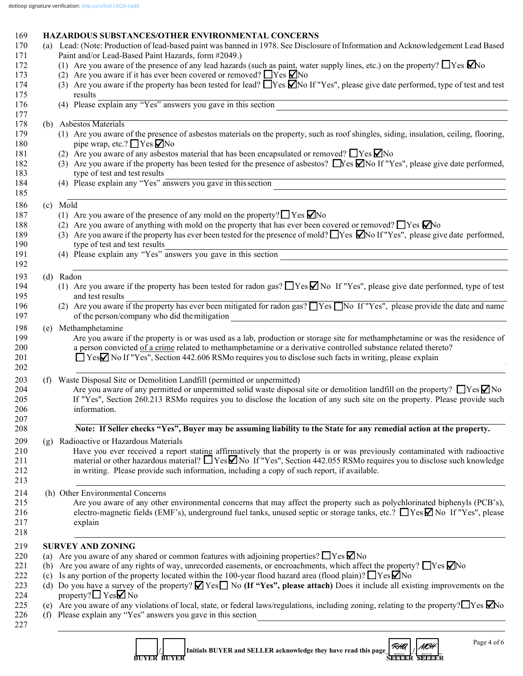# 169 **HAZARDOUS SUBSTANCES/OTHER ENVIRONMENTAL CONCERNS**<br>170 (a) Lead: (Note: Production of lead-based naint was banned in 1978, See Disclose

| (a) Lead: (Note: Production of lead-based paint was banned in 1978. See Disclosure of Information and Acknowledgement Lead Based                                                                                                                                   |
|--------------------------------------------------------------------------------------------------------------------------------------------------------------------------------------------------------------------------------------------------------------------|
| (1) Are you aware of the presence of any lead hazards (such as paint, water supply lines, etc.) on the property? $\Box$ Yes $\Box$ No                                                                                                                              |
|                                                                                                                                                                                                                                                                    |
| (3) Are you aware if the property has been tested for lead? $\Box$ Yes $\Box$ No If "Yes", please give date performed, type of test and test                                                                                                                       |
| results<br>(4) Please explain any "Yes" answers you gave in this section                                                                                                                                                                                           |
|                                                                                                                                                                                                                                                                    |
| (1) Are you aware of the presence of asbestos materials on the property, such as roof shingles, siding, insulation, ceiling, flooring,                                                                                                                             |
| (3) Are you aware if the property has been tested for the presence of asbestos? $\Box$ Yes $\Box$ No If "Yes", please give date performed,                                                                                                                         |
| (4) Please explain any "Yes" answers you gave in this section<br><u> 1989 - Andrea Santa Andrea Andrea Santa Andrea Andrea Andrea Andrea Andrea Andrea Andrea Andrea Andrea Andre</u>                                                                              |
|                                                                                                                                                                                                                                                                    |
|                                                                                                                                                                                                                                                                    |
|                                                                                                                                                                                                                                                                    |
| (3) Are you aware if the property has ever been tested for the presence of mold? These $\Box$ No If "Yes", please give date performed,                                                                                                                             |
| type of test and test results<br>(4) Please explain any "Yes" answers you gave in this section                                                                                                                                                                     |
|                                                                                                                                                                                                                                                                    |
| (1) Are you aware if the property has been tested for radon gas? $\Box$ Yes $\Box$ No If "Yes", please give date performed, type of test                                                                                                                           |
| (2) Are you aware if the property has ever been mitigated for radon gas? No If "Yes", please provide the date and name<br><u> 1989 - Johann Stoff, deutscher Stoffen und der Stoffen und der Stoffen und der Stoffen und der Stoffen und der</u>                   |
|                                                                                                                                                                                                                                                                    |
| Are you aware if the property is or was used as a lab, production or storage site for methamphetamine or was the residence of                                                                                                                                      |
| Are you aware of any permitted or unpermitted solid waste disposal site or demolition landfill on the property? $\Box$ Yes $\Box$ No<br>If "Yes", Section 260.213 RSMo requires you to disclose the location of any such site on the property. Please provide such |
| Note: If Seller checks "Yes", Buyer may be assuming liability to the State for any remedial action at the property.                                                                                                                                                |
|                                                                                                                                                                                                                                                                    |
| Have you ever received a report stating affirmatively that the property is or was previously contaminated with radioactive<br>material or other hazardous material? $\Box$ Yes $\Box$ No If "Yes", Section 442.055 RSMo requires you to disclose such knowledge    |
|                                                                                                                                                                                                                                                                    |
| Are you aware of any other environmental concerns that may affect the property such as polychlorinated biphenyls (PCB's),<br>electro-magnetic fields (EMF's), underground fuel tanks, unused septic or storage tanks, etc.? ■ Yes No If "Yes", please              |
|                                                                                                                                                                                                                                                                    |
|                                                                                                                                                                                                                                                                    |
| Are you aware of any rights of way, unrecorded easements, or encroachments, which affect the property? $\Box$ Yes $\Box$ No                                                                                                                                        |
| Do you have a survey of the property? $\Box$ Yes $\Box$ No (If "Yes", please attach) Does it include all existing improvements on the                                                                                                                              |
| (e) Are you aware of any violations of local, state, or federal laws/regulations, including zoning, relating to the property? $\Box$ Yes $\Box$ No<br><u> 1980 - John Stone, Amerikaansk politiker (</u>                                                           |
|                                                                                                                                                                                                                                                                    |

**BUYER BUYER SELLER SELLER SELLER SELLER SELLER SELLER SELLER SELLER SELLER**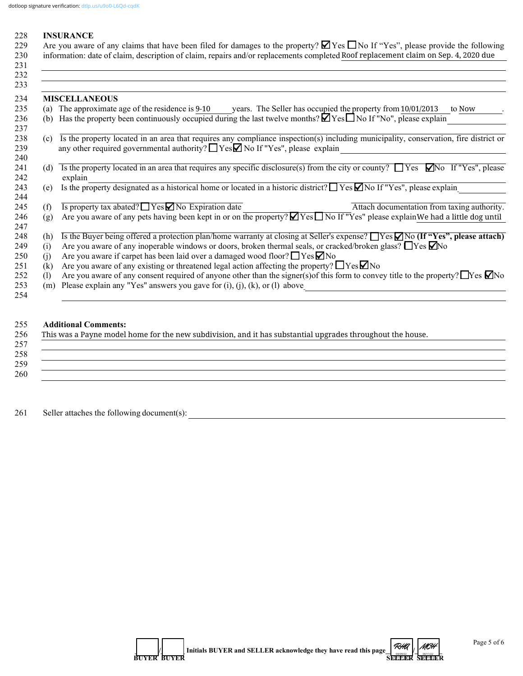| 228<br>229 |     | <b>INSURANCE</b><br>Are you aware of any claims that have been filed for damages to the property? $\Box$ Yes $\Box$ No If "Yes", please provide the following |
|------------|-----|---------------------------------------------------------------------------------------------------------------------------------------------------------------|
| 230        |     | information: date of claim, description of claim, repairs and/or replacements completed Roof replacement claim on Sep. 4, 2020 due                            |
| 231        |     |                                                                                                                                                               |
| 232<br>233 |     |                                                                                                                                                               |
|            |     |                                                                                                                                                               |
| 234        |     | <b>MISCELLANEOUS</b>                                                                                                                                          |
| 235        |     | (a) The approximate age of the residence is 9-10 vears. The Seller has occupied the property from 10/01/2013<br>to Now                                        |
| 236        |     | (b) Has the property been continuously occupied during the last twelve months? $\Box$ Yes $\Box$ No If "No", please explain                                   |
| 237        |     |                                                                                                                                                               |
| 238        | (c) | Is the property located in an area that requires any compliance inspection(s) including municipality, conservation, fire district or                          |
| 239        |     | any other required governmental authority? $\Box$ Yes $\Box$ No If "Yes", please explain                                                                      |
| 240        |     |                                                                                                                                                               |
| 241        | (d) | Is the property located in an area that requires any specific disclosure(s) from the city or county? $\Box$ Yes $\Box$ No If "Yes", please                    |
| 242        |     | explain                                                                                                                                                       |
| 243        | (e) | Is the property designated as a historical home or located in a historic district? $\Box$ Yes $\Box$ No If "Yes", please explain                              |
| 244        |     |                                                                                                                                                               |
| 245        | (f) | Is property tax abated? $\Box$ Yes $\Box$ No Expiration date<br>Attach documentation from taxing authority.                                                   |
| 246        | (g) | Are you aware of any pets having been kept in or on the property? $\Box$ Yes $\Box$ No If "Yes" please explain We had a little dog until                      |
| 247        |     |                                                                                                                                                               |
|            |     | Is the Buyer being offered a protection plan/home warranty at closing at Seller's expense? TYes $\Box$ No (If "Yes", please attach)                           |
| 248        | (h) |                                                                                                                                                               |
| 249        | (i) | Are you aware of any inoperable windows or doors, broken thermal seals, or cracked/broken glass? $\Box$ Yes $\Box$ No                                         |
| 250        | (i) | Are you aware if carpet has been laid over a damaged wood floor? $\Box$ Yes $\nabla$ No                                                                       |
| 251        | (k) | Are you aware of any existing or threatened legal action affecting the property? $\Box$ Yes $\Box$ No                                                         |
| 252        | (1) | Are you aware of any consent required of anyone other than the signer(s) of this form to convey title to the property? Thes $\Box$ No                         |

253 (m) Please explain any "Yes" answers you gave for (i), (j), (k), or (l) above

#### 255 **Additional Comments:**

| This was a Payne model home for the new subdivision, and it has substantial upgrades throughout the house. |
|------------------------------------------------------------------------------------------------------------|
|                                                                                                            |
|                                                                                                            |
|                                                                                                            |
|                                                                                                            |
|                                                                                                            |
|                                                                                                            |

 $254$ 

261 Seller attaches the following document(s): \_\_\_\_\_\_\_\_\_\_\_\_\_\_\_\_\_\_\_\_\_\_\_\_\_\_\_\_\_\_\_\_\_\_